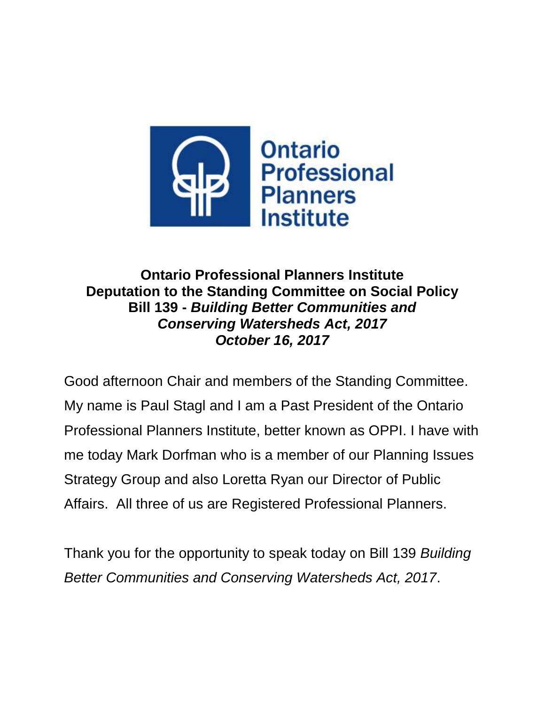

## **Ontario Professional Planners Institute Deputation to the Standing Committee on Social Policy Bill 139 -** *Building Better Communities and Conserving Watersheds Act, 2017 October 16, 2017*

Good afternoon Chair and members of the Standing Committee. My name is Paul Stagl and I am a Past President of the Ontario Professional Planners Institute, better known as OPPI. I have with me today Mark Dorfman who is a member of our Planning Issues Strategy Group and also Loretta Ryan our Director of Public Affairs. All three of us are Registered Professional Planners.

Thank you for the opportunity to speak today on Bill 139 *Building Better Communities and Conserving Watersheds Act, 2017*.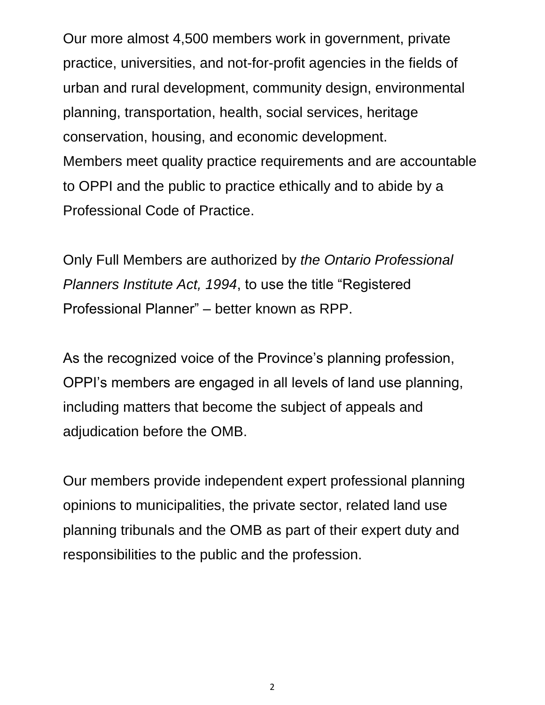Our more almost 4,500 members work in government, private practice, universities, and not-for-profit agencies in the fields of urban and rural development, community design, environmental planning, transportation, health, social services, heritage conservation, housing, and economic development. Members meet quality practice requirements and are accountable to OPPI and the public to practice ethically and to abide by a Professional Code of Practice.

Only Full Members are authorized by *the Ontario Professional Planners Institute Act, 1994*, to use the title "Registered Professional Planner" – better known as RPP.

As the recognized voice of the Province's planning profession, OPPI's members are engaged in all levels of land use planning, including matters that become the subject of appeals and adjudication before the OMB.

Our members provide independent expert professional planning opinions to municipalities, the private sector, related land use planning tribunals and the OMB as part of their expert duty and responsibilities to the public and the profession.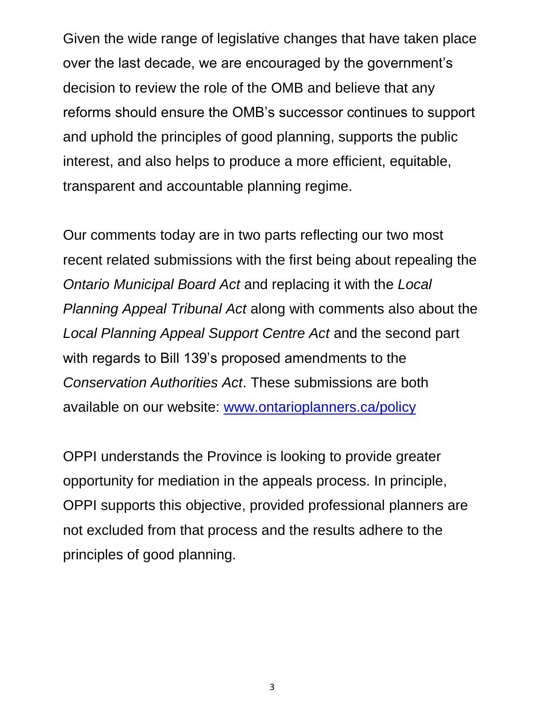Given the wide range of legislative changes that have taken place over the last decade, we are encouraged by the government's decision to review the role of the OMB and believe that any reforms should ensure the OMB's successor continues to support and uphold the principles of good planning, supports the public interest, and also helps to produce a more efficient, equitable, transparent and accountable planning regime.

Our comments today are in two parts reflecting our two most recent related submissions with the first being about repealing the *Ontario Municipal Board Act* and replacing it with the *Local Planning Appeal Tribunal Act* along with comments also about the *Local Planning Appeal Support Centre Act* and the second part with regards to Bill 139's proposed amendments to the *Conservation Authorities Act*. These submissions are both available on our website: [www.ontarioplanners.ca/](http://www.ontarioplanners.ca/)policy

OPPI understands the Province is looking to provide greater opportunity for mediation in the appeals process. In principle, OPPI supports this objective, provided professional planners are not excluded from that process and the results adhere to the principles of good planning.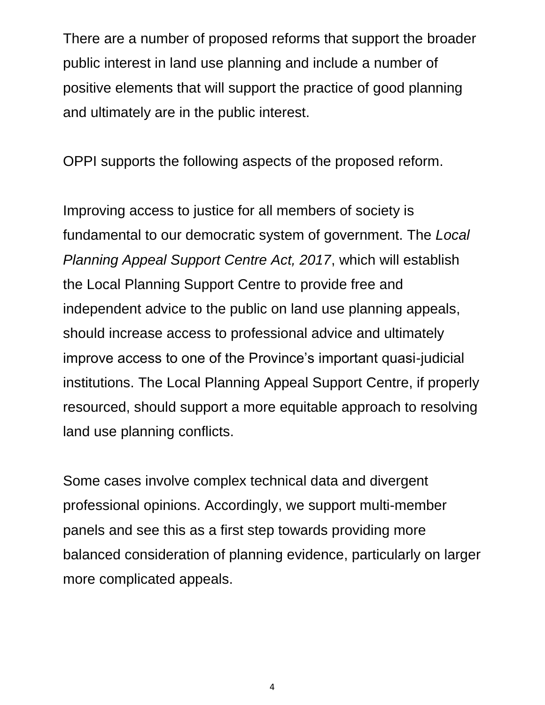There are a number of proposed reforms that support the broader public interest in land use planning and include a number of positive elements that will support the practice of good planning and ultimately are in the public interest.

OPPI supports the following aspects of the proposed reform.

Improving access to justice for all members of society is fundamental to our democratic system of government. The *Local Planning Appeal Support Centre Act, 2017*, which will establish the Local Planning Support Centre to provide free and independent advice to the public on land use planning appeals, should increase access to professional advice and ultimately improve access to one of the Province's important quasi-judicial institutions. The Local Planning Appeal Support Centre, if properly resourced, should support a more equitable approach to resolving land use planning conflicts.

Some cases involve complex technical data and divergent professional opinions. Accordingly, we support multi-member panels and see this as a first step towards providing more balanced consideration of planning evidence, particularly on larger more complicated appeals.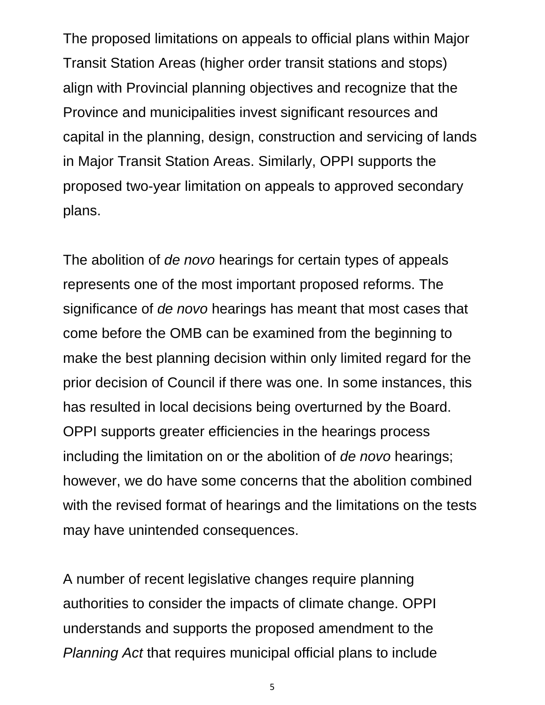The proposed limitations on appeals to official plans within Major Transit Station Areas (higher order transit stations and stops) align with Provincial planning objectives and recognize that the Province and municipalities invest significant resources and capital in the planning, design, construction and servicing of lands in Major Transit Station Areas. Similarly, OPPI supports the proposed two-year limitation on appeals to approved secondary plans.

The abolition of *de novo* hearings for certain types of appeals represents one of the most important proposed reforms. The significance of *de novo* hearings has meant that most cases that come before the OMB can be examined from the beginning to make the best planning decision within only limited regard for the prior decision of Council if there was one. In some instances, this has resulted in local decisions being overturned by the Board. OPPI supports greater efficiencies in the hearings process including the limitation on or the abolition of *de novo* hearings; however, we do have some concerns that the abolition combined with the revised format of hearings and the limitations on the tests may have unintended consequences.

A number of recent legislative changes require planning authorities to consider the impacts of climate change. OPPI understands and supports the proposed amendment to the *Planning Act* that requires municipal official plans to include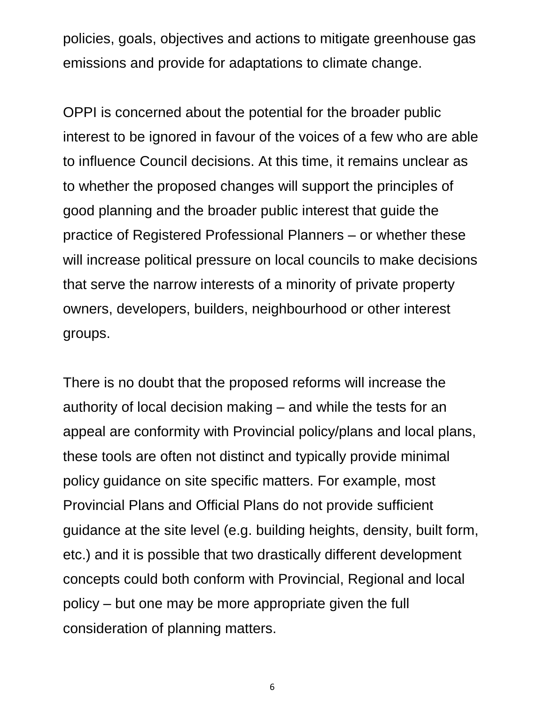policies, goals, objectives and actions to mitigate greenhouse gas emissions and provide for adaptations to climate change.

OPPI is concerned about the potential for the broader public interest to be ignored in favour of the voices of a few who are able to influence Council decisions. At this time, it remains unclear as to whether the proposed changes will support the principles of good planning and the broader public interest that guide the practice of Registered Professional Planners – or whether these will increase political pressure on local councils to make decisions that serve the narrow interests of a minority of private property owners, developers, builders, neighbourhood or other interest groups.

There is no doubt that the proposed reforms will increase the authority of local decision making – and while the tests for an appeal are conformity with Provincial policy/plans and local plans, these tools are often not distinct and typically provide minimal policy guidance on site specific matters. For example, most Provincial Plans and Official Plans do not provide sufficient guidance at the site level (e.g. building heights, density, built form, etc.) and it is possible that two drastically different development concepts could both conform with Provincial, Regional and local policy – but one may be more appropriate given the full consideration of planning matters.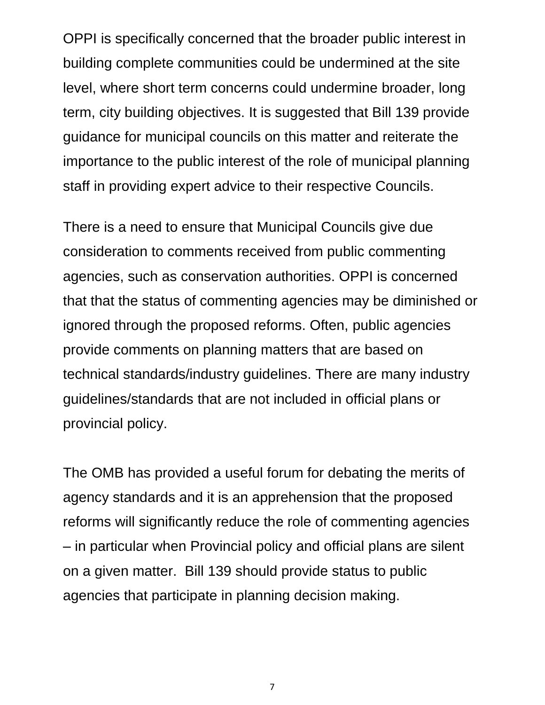OPPI is specifically concerned that the broader public interest in building complete communities could be undermined at the site level, where short term concerns could undermine broader, long term, city building objectives. It is suggested that Bill 139 provide guidance for municipal councils on this matter and reiterate the importance to the public interest of the role of municipal planning staff in providing expert advice to their respective Councils.

There is a need to ensure that Municipal Councils give due consideration to comments received from public commenting agencies, such as conservation authorities. OPPI is concerned that that the status of commenting agencies may be diminished or ignored through the proposed reforms. Often, public agencies provide comments on planning matters that are based on technical standards/industry guidelines. There are many industry guidelines/standards that are not included in official plans or provincial policy.

The OMB has provided a useful forum for debating the merits of agency standards and it is an apprehension that the proposed reforms will significantly reduce the role of commenting agencies – in particular when Provincial policy and official plans are silent on a given matter. Bill 139 should provide status to public agencies that participate in planning decision making.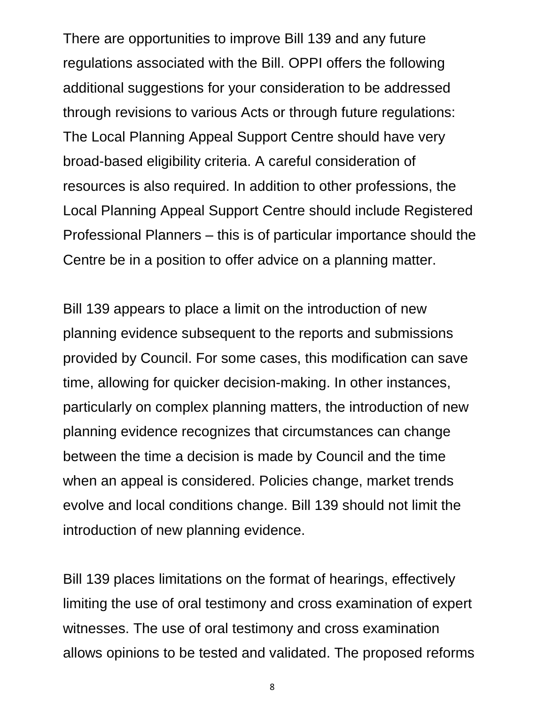There are opportunities to improve Bill 139 and any future regulations associated with the Bill. OPPI offers the following additional suggestions for your consideration to be addressed through revisions to various Acts or through future regulations: The Local Planning Appeal Support Centre should have very broad-based eligibility criteria. A careful consideration of resources is also required. In addition to other professions, the Local Planning Appeal Support Centre should include Registered Professional Planners – this is of particular importance should the Centre be in a position to offer advice on a planning matter.

Bill 139 appears to place a limit on the introduction of new planning evidence subsequent to the reports and submissions provided by Council. For some cases, this modification can save time, allowing for quicker decision-making. In other instances, particularly on complex planning matters, the introduction of new planning evidence recognizes that circumstances can change between the time a decision is made by Council and the time when an appeal is considered. Policies change, market trends evolve and local conditions change. Bill 139 should not limit the introduction of new planning evidence.

Bill 139 places limitations on the format of hearings, effectively limiting the use of oral testimony and cross examination of expert witnesses. The use of oral testimony and cross examination allows opinions to be tested and validated. The proposed reforms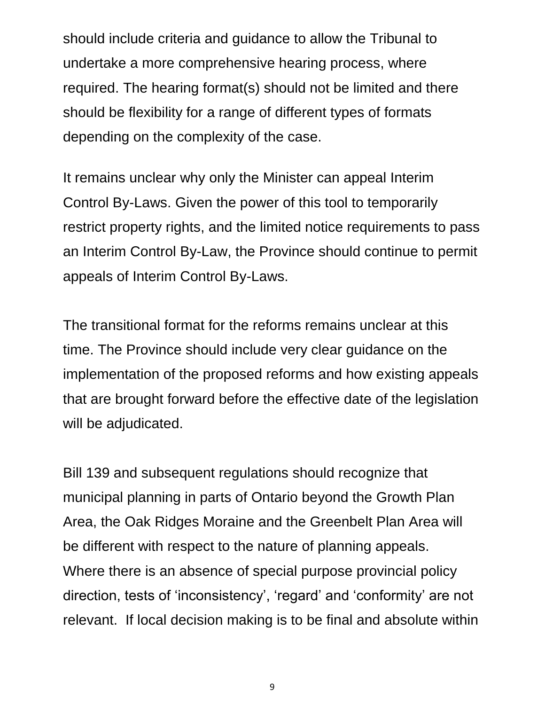should include criteria and guidance to allow the Tribunal to undertake a more comprehensive hearing process, where required. The hearing format(s) should not be limited and there should be flexibility for a range of different types of formats depending on the complexity of the case.

It remains unclear why only the Minister can appeal Interim Control By-Laws. Given the power of this tool to temporarily restrict property rights, and the limited notice requirements to pass an Interim Control By-Law, the Province should continue to permit appeals of Interim Control By-Laws.

The transitional format for the reforms remains unclear at this time. The Province should include very clear guidance on the implementation of the proposed reforms and how existing appeals that are brought forward before the effective date of the legislation will be adjudicated.

Bill 139 and subsequent regulations should recognize that municipal planning in parts of Ontario beyond the Growth Plan Area, the Oak Ridges Moraine and the Greenbelt Plan Area will be different with respect to the nature of planning appeals. Where there is an absence of special purpose provincial policy direction, tests of 'inconsistency', 'regard' and 'conformity' are not relevant. If local decision making is to be final and absolute within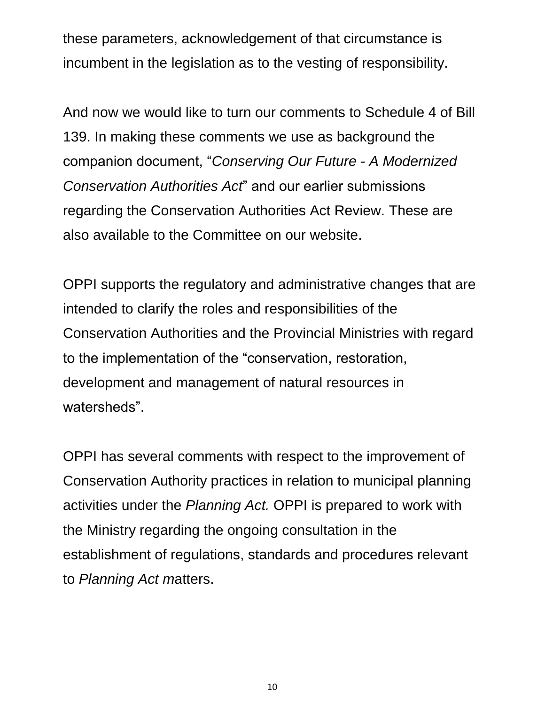these parameters, acknowledgement of that circumstance is incumbent in the legislation as to the vesting of responsibility.

And now we would like to turn our comments to Schedule 4 of Bill 139. In making these comments we use as background the companion document, "*Conserving Our Future - A Modernized Conservation Authorities Act*" and our earlier submissions regarding the Conservation Authorities Act Review. These are also available to the Committee on our website.

OPPI supports the regulatory and administrative changes that are intended to clarify the roles and responsibilities of the Conservation Authorities and the Provincial Ministries with regard to the implementation of the "conservation, restoration, development and management of natural resources in watersheds".

OPPI has several comments with respect to the improvement of Conservation Authority practices in relation to municipal planning activities under the *Planning Act.* OPPI is prepared to work with the Ministry regarding the ongoing consultation in the establishment of regulations, standards and procedures relevant to *Planning Act m*atters.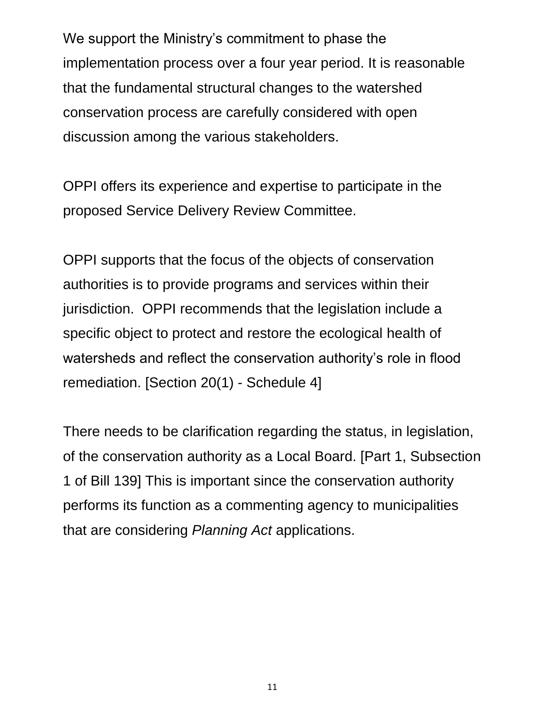We support the Ministry's commitment to phase the implementation process over a four year period. It is reasonable that the fundamental structural changes to the watershed conservation process are carefully considered with open discussion among the various stakeholders.

OPPI offers its experience and expertise to participate in the proposed Service Delivery Review Committee.

OPPI supports that the focus of the objects of conservation authorities is to provide programs and services within their jurisdiction. OPPI recommends that the legislation include a specific object to protect and restore the ecological health of watersheds and reflect the conservation authority's role in flood remediation. [Section 20(1) - Schedule 4]

There needs to be clarification regarding the status, in legislation, of the conservation authority as a Local Board. [Part 1, Subsection 1 of Bill 139] This is important since the conservation authority performs its function as a commenting agency to municipalities that are considering *Planning Act* applications.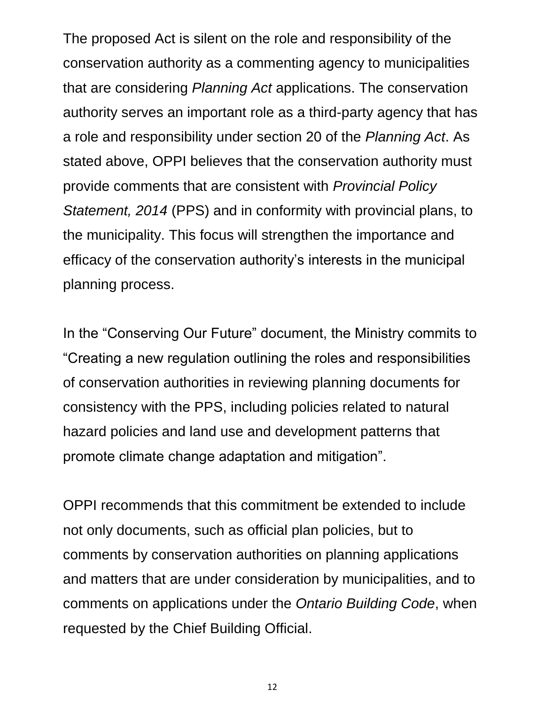The proposed Act is silent on the role and responsibility of the conservation authority as a commenting agency to municipalities that are considering *Planning Act* applications. The conservation authority serves an important role as a third-party agency that has a role and responsibility under section 20 of the *Planning Act*. As stated above, OPPI believes that the conservation authority must provide comments that are consistent with *Provincial Policy Statement, 2014* (PPS) and in conformity with provincial plans, to the municipality. This focus will strengthen the importance and efficacy of the conservation authority's interests in the municipal planning process.

In the "Conserving Our Future" document, the Ministry commits to "Creating a new regulation outlining the roles and responsibilities of conservation authorities in reviewing planning documents for consistency with the PPS, including policies related to natural hazard policies and land use and development patterns that promote climate change adaptation and mitigation".

OPPI recommends that this commitment be extended to include not only documents, such as official plan policies, but to comments by conservation authorities on planning applications and matters that are under consideration by municipalities, and to comments on applications under the *Ontario Building Code*, when requested by the Chief Building Official.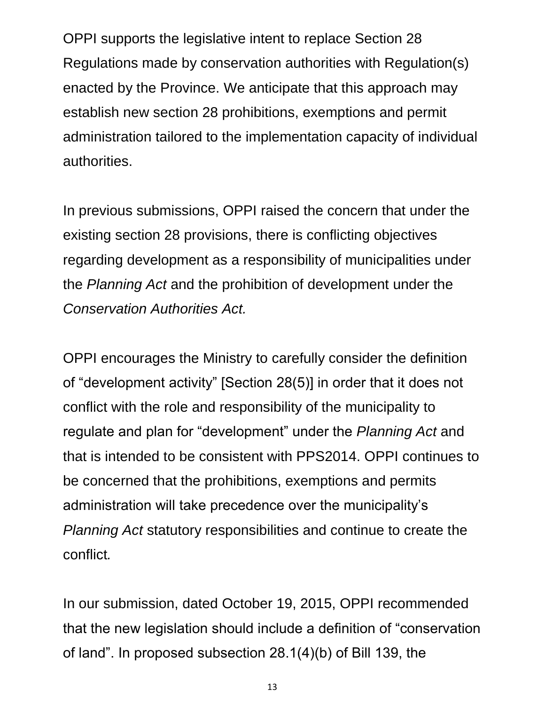OPPI supports the legislative intent to replace Section 28 Regulations made by conservation authorities with Regulation(s) enacted by the Province. We anticipate that this approach may establish new section 28 prohibitions, exemptions and permit administration tailored to the implementation capacity of individual authorities.

In previous submissions, OPPI raised the concern that under the existing section 28 provisions, there is conflicting objectives regarding development as a responsibility of municipalities under the *Planning Act* and the prohibition of development under the *Conservation Authorities Act.*

OPPI encourages the Ministry to carefully consider the definition of "development activity" [Section 28(5)] in order that it does not conflict with the role and responsibility of the municipality to regulate and plan for "development" under the *Planning Act* and that is intended to be consistent with PPS2014. OPPI continues to be concerned that the prohibitions, exemptions and permits administration will take precedence over the municipality's *Planning Act* statutory responsibilities and continue to create the conflict*.*

In our submission, dated October 19, 2015, OPPI recommended that the new legislation should include a definition of "conservation of land". In proposed subsection 28.1(4)(b) of Bill 139, the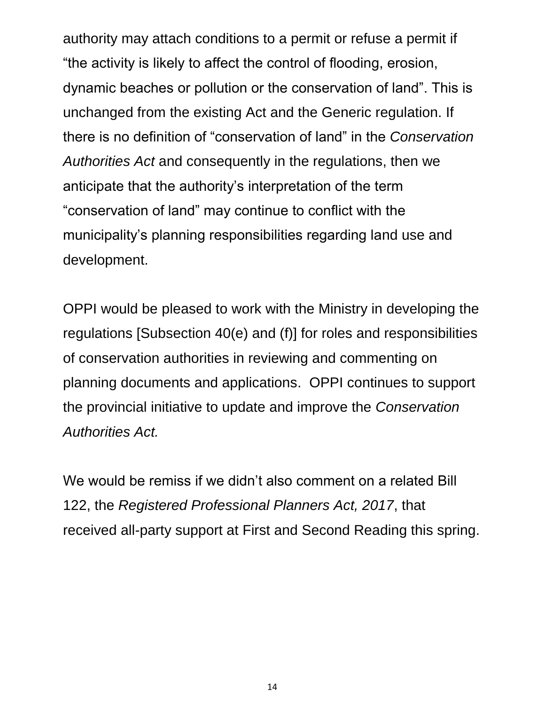authority may attach conditions to a permit or refuse a permit if "the activity is likely to affect the control of flooding, erosion, dynamic beaches or pollution or the conservation of land". This is unchanged from the existing Act and the Generic regulation. If there is no definition of "conservation of land" in the *Conservation Authorities Act* and consequently in the regulations, then we anticipate that the authority's interpretation of the term "conservation of land" may continue to conflict with the municipality's planning responsibilities regarding land use and development.

OPPI would be pleased to work with the Ministry in developing the regulations [Subsection 40(e) and (f)] for roles and responsibilities of conservation authorities in reviewing and commenting on planning documents and applications. OPPI continues to support the provincial initiative to update and improve the *Conservation Authorities Act.* 

We would be remiss if we didn't also comment on a related Bill 122, the *Registered Professional Planners Act, 2017*, that received all-party support at First and Second Reading this spring.